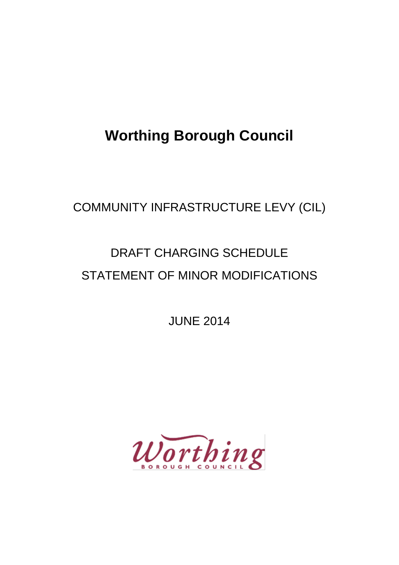## **Worthing Borough Council**

### COMMUNITY INFRASTRUCTURE LEVY (CIL)

# DRAFT CHARGING SCHEDULE STATEMENT OF MINOR MODIFICATIONS

JUNE 2014

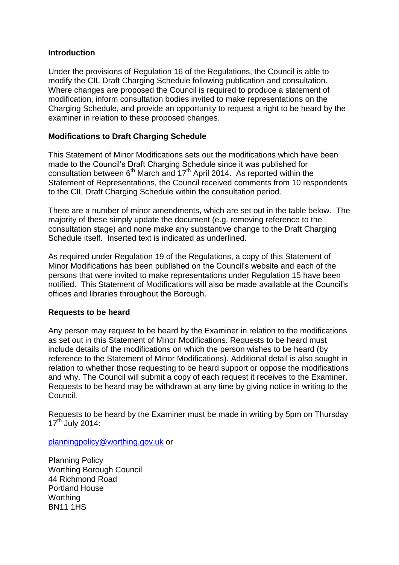#### **Introduction**

Under the provisions of Regulation 16 of the Regulations, the Council is able to modify the CIL Draft Charging Schedule following publication and consultation. Where changes are proposed the Council is required to produce a statement of modification, inform consultation bodies invited to make representations on the Charging Schedule, and provide an opportunity to request a right to be heard by the examiner in relation to these proposed changes.

#### **Modifications to Draft Charging Schedule**

This Statement of Minor Modifications sets out the modifications which have been made to the Council's Draft Charging Schedule since it was published for consultation between 6<sup>th</sup> March and 17<sup>th</sup> April 2014. As reported within the Statement of Representations, the Council received comments from 10 respondents to the CIL Draft Charging Schedule within the consultation period.

There are a number of minor amendments, which are set out in the table below. The majority of these simply update the document (e.g. removing reference to the consultation stage) and none make any substantive change to the Draft Charging Schedule itself. Inserted text is indicated as underlined.

As required under Regulation 19 of the Regulations, a copy of this Statement of Minor Modifications has been published on the Council's website and each of the persons that were invited to make representations under Regulation 15 have been notified. This Statement of Modifications will also be made available at the Council's offices and libraries throughout the Borough.

#### **Requests to be heard**

Any person may request to be heard by the Examiner in relation to the modifications as set out in this Statement of Minor Modifications. Requests to be heard must include details of the modifications on which the person wishes to be heard (by reference to the Statement of Minor Modifications). Additional detail is also sought in relation to whether those requesting to be heard support or oppose the modifications and why. The Council will submit a copy of each request it receives to the Examiner. Requests to be heard may be withdrawn at any time by giving notice in writing to the Council.

Requests to be heard by the Examiner must be made in writing by 5pm on Thursday 17<sup>th</sup> July 2014:

[planningpolicy@worthing.gov.uk](mailto:planningpolicy@worthing.gov.uk) or

Planning Policy Worthing Borough Council 44 Richmond Road Portland House **Worthing** BN11 1HS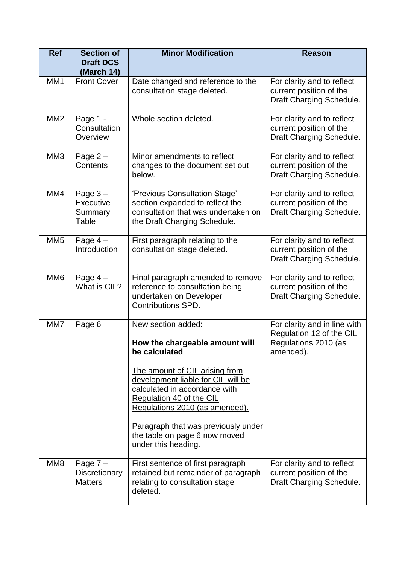| <b>Ref</b>      | <b>Section of</b><br><b>Draft DCS</b><br>(March 14)  | <b>Minor Modification</b>                                                                                                                                                                                                                                                                                                                   | <b>Reason</b>                                                                                 |
|-----------------|------------------------------------------------------|---------------------------------------------------------------------------------------------------------------------------------------------------------------------------------------------------------------------------------------------------------------------------------------------------------------------------------------------|-----------------------------------------------------------------------------------------------|
| MM <sub>1</sub> | <b>Front Cover</b>                                   | Date changed and reference to the<br>consultation stage deleted.                                                                                                                                                                                                                                                                            | For clarity and to reflect<br>current position of the<br>Draft Charging Schedule.             |
| MM <sub>2</sub> | Page 1 -<br>Consultation<br>Overview                 | Whole section deleted.                                                                                                                                                                                                                                                                                                                      | For clarity and to reflect<br>current position of the<br>Draft Charging Schedule.             |
| MM <sub>3</sub> | Page $2 -$<br>Contents                               | Minor amendments to reflect<br>changes to the document set out<br>below.                                                                                                                                                                                                                                                                    | For clarity and to reflect<br>current position of the<br>Draft Charging Schedule.             |
| MM4             | Page $3 -$<br>Executive<br>Summary<br>Table          | 'Previous Consultation Stage'<br>section expanded to reflect the<br>consultation that was undertaken on<br>the Draft Charging Schedule.                                                                                                                                                                                                     | For clarity and to reflect<br>current position of the<br>Draft Charging Schedule.             |
| MM <sub>5</sub> | Page $4-$<br>Introduction                            | First paragraph relating to the<br>consultation stage deleted.                                                                                                                                                                                                                                                                              | For clarity and to reflect<br>current position of the<br>Draft Charging Schedule.             |
| MM <sub>6</sub> | Page $4-$<br>What is CIL?                            | Final paragraph amended to remove<br>reference to consultation being<br>undertaken on Developer<br><b>Contributions SPD.</b>                                                                                                                                                                                                                | For clarity and to reflect<br>current position of the<br>Draft Charging Schedule.             |
| MM7             | Page 6                                               | New section added:<br>How the chargeable amount will<br>be calculated<br>The amount of CIL arising from<br>development liable for CIL will be<br>calculated in accordance with<br>Regulation 40 of the CIL<br>Regulations 2010 (as amended).<br>Paragraph that was previously under<br>the table on page 6 now moved<br>under this heading. | For clarity and in line with<br>Regulation 12 of the CIL<br>Regulations 2010 (as<br>amended). |
| MM <sub>8</sub> | Page $7 -$<br><b>Discretionary</b><br><b>Matters</b> | First sentence of first paragraph<br>retained but remainder of paragraph<br>relating to consultation stage<br>deleted.                                                                                                                                                                                                                      | For clarity and to reflect<br>current position of the<br>Draft Charging Schedule.             |